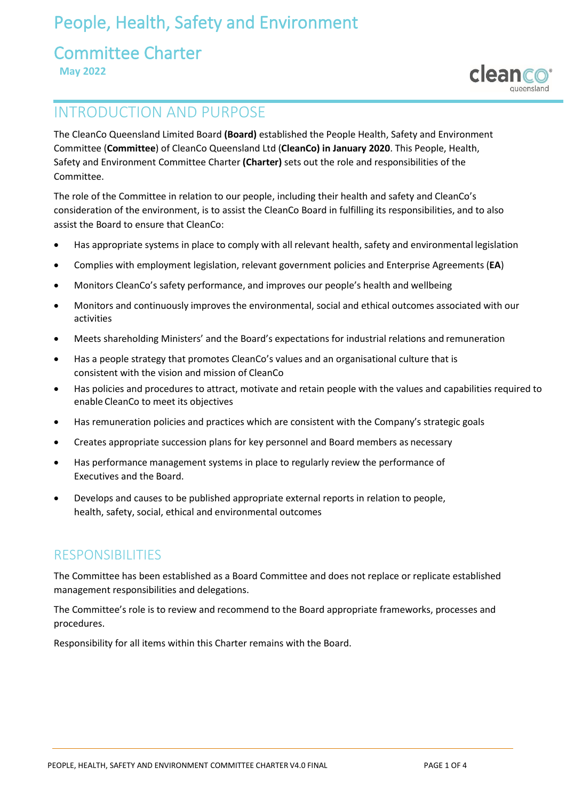# People, Health, Safety and Environment

### Committee Charter  **May 2022**



# INTRODUCTION AND PURPOSE

The CleanCo Queensland Limited Board **(Board)** established the People Health, Safety and Environment Committee (**Committee**) of CleanCo Queensland Ltd (**CleanCo) in January 2020**. This People, Health, Safety and Environment Committee Charter **(Charter)** sets out the role and responsibilities of the Committee.

The role of the Committee in relation to our people, including their health and safety and CleanCo's consideration of the environment, is to assist the CleanCo Board in fulfilling its responsibilities, and to also assist the Board to ensure that CleanCo:

- Has appropriate systems in place to comply with all relevant health, safety and environmental legislation
- Complies with employment legislation, relevant government policies and Enterprise Agreements (**EA**)
- Monitors CleanCo's safety performance, and improves our people's health and wellbeing
- Monitors and continuously improves the environmental, social and ethical outcomes associated with our activities
- Meets shareholding Ministers' and the Board's expectations for industrial relations and remuneration
- Has a people strategy that promotes CleanCo's values and an organisational culture that is consistent with the vision and mission of CleanCo
- Has policies and procedures to attract, motivate and retain people with the values and capabilities required to enable CleanCo to meet its objectives
- Has remuneration policies and practices which are consistent with the Company's strategic goals
- Creates appropriate succession plans for key personnel and Board members as necessary
- Has performance management systems in place to regularly review the performance of Executives and the Board.
- Develops and causes to be published appropriate external reports in relation to people, health, safety, social, ethical and environmental outcomes

### RESPONSIBILITIES

The Committee has been established as a Board Committee and does not replace or replicate established management responsibilities and delegations.

The Committee's role is to review and recommend to the Board appropriate frameworks, processes and procedures.

Responsibility for all items within this Charter remains with the Board.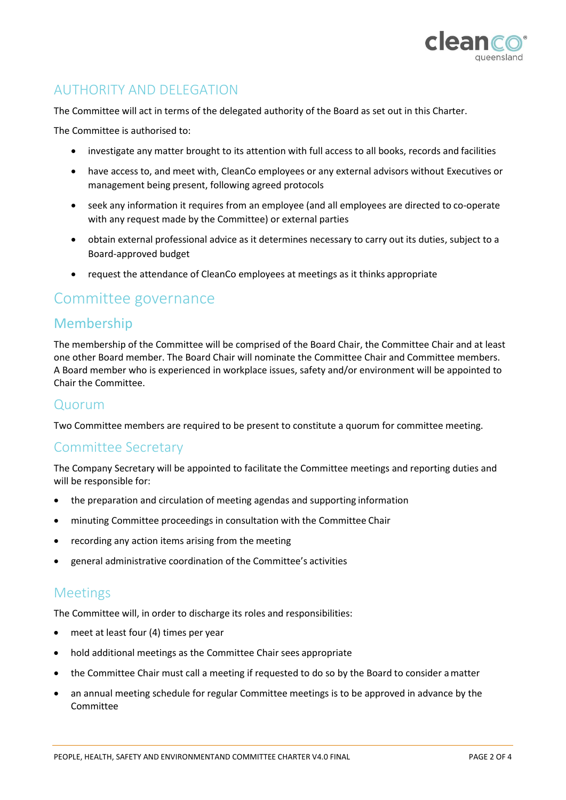

### AUTHORITY AND DELEGATION

The Committee will act in terms of the delegated authority of the Board as set out in this Charter.

The Committee is authorised to:

- investigate any matter brought to its attention with full access to all books, records and facilities
- have access to, and meet with, CleanCo employees or any external advisors without Executives or management being present, following agreed protocols
- seek any information it requires from an employee (and all employees are directed to co‐operate with any request made by the Committee) or external parties
- obtain external professional advice as it determines necessary to carry out its duties, subject to a Board-approved budget
- request the attendance of CleanCo employees at meetings as it thinks appropriate

### Committee governance

### Membership

The membership of the Committee will be comprised of the Board Chair, the Committee Chair and at least one other Board member. The Board Chair will nominate the Committee Chair and Committee members. A Board member who is experienced in workplace issues, safety and/or environment will be appointed to Chair the Committee.

#### Quorum

Two Committee members are required to be present to constitute a quorum for committee meeting.

#### Committee Secretary

The Company Secretary will be appointed to facilitate the Committee meetings and reporting duties and will be responsible for:

- the preparation and circulation of meeting agendas and supporting information
- minuting Committee proceedings in consultation with the Committee Chair
- recording any action items arising from the meeting
- general administrative coordination of the Committee's activities

#### Meetings

The Committee will, in order to discharge its roles and responsibilities:

- meet at least four (4) times per year
- hold additional meetings as the Committee Chair sees appropriate
- the Committee Chair must call a meeting if requested to do so by the Board to consider amatter
- an annual meeting schedule for regular Committee meetings is to be approved in advance by the Committee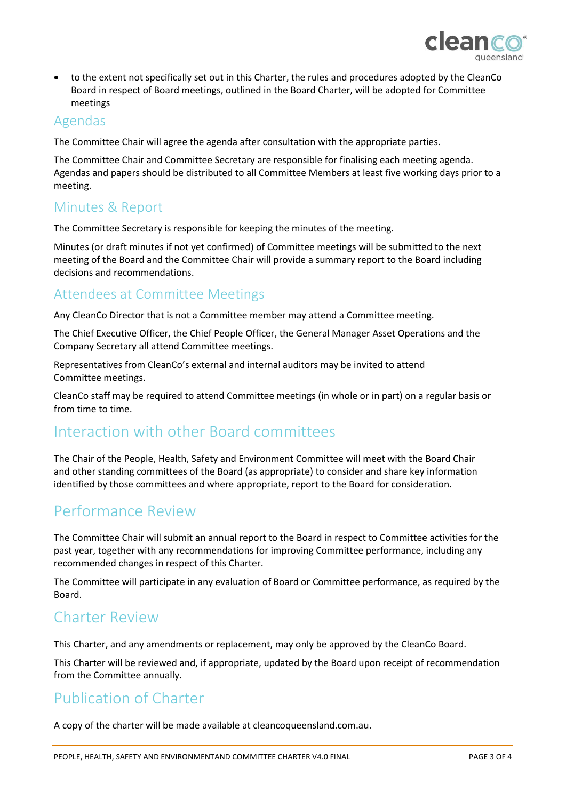

• to the extent not specifically set out in this Charter, the rules and procedures adopted by the CleanCo Board in respect of Board meetings, outlined in the Board Charter, will be adopted for Committee meetings

#### Agendas

The Committee Chair will agree the agenda after consultation with the appropriate parties.

The Committee Chair and Committee Secretary are responsible for finalising each meeting agenda. Agendas and papers should be distributed to all Committee Members at least five working days prior to a meeting.

### Minutes & Report

The Committee Secretary is responsible for keeping the minutes of the meeting.

Minutes (or draft minutes if not yet confirmed) of Committee meetings will be submitted to the next meeting of the Board and the Committee Chair will provide a summary report to the Board including decisions and recommendations.

### Attendees at Committee Meetings

Any CleanCo Director that is not a Committee member may attend a Committee meeting.

The Chief Executive Officer, the Chief People Officer, the General Manager Asset Operations and the Company Secretary all attend Committee meetings.

Representatives from CleanCo's external and internal auditors may be invited to attend Committee meetings.

CleanCo staff may be required to attend Committee meetings (in whole or in part) on a regular basis or from time to time.

# Interaction with other Board committees

The Chair of the People, Health, Safety and Environment Committee will meet with the Board Chair and other standing committees of the Board (as appropriate) to consider and share key information identified by those committees and where appropriate, report to the Board for consideration.

### Performance Review

The Committee Chair will submit an annual report to the Board in respect to Committee activities for the past year, together with any recommendations for improving Committee performance, including any recommended changes in respect of this Charter.

The Committee will participate in any evaluation of Board or Committee performance, as required by the Board.

### Charter Review

This Charter, and any amendments or replacement, may only be approved by the CleanCo Board.

This Charter will be reviewed and, if appropriate, updated by the Board upon receipt of recommendation from the Committee annually.

# Publication of Charter

A copy of the charter will be made available at cleancoqueensland.com.au.